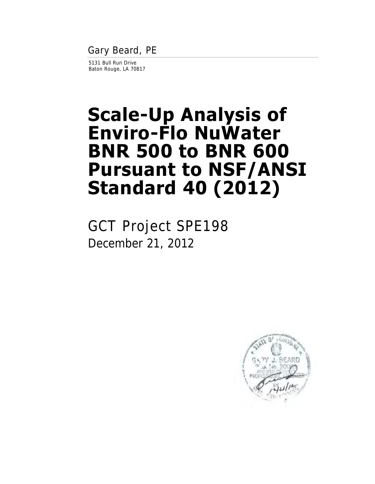Gary Beard, PE

5131 Bull Run Drive Baton Rouge, LA 70817

# **Scale-Up Analysis of Enviro-Flo NuWater BNR 500 to BNR 600 Pursuant to NSF/ANSI Standard 40 (2012)**

GCT Project SPE198 December 21, 2012

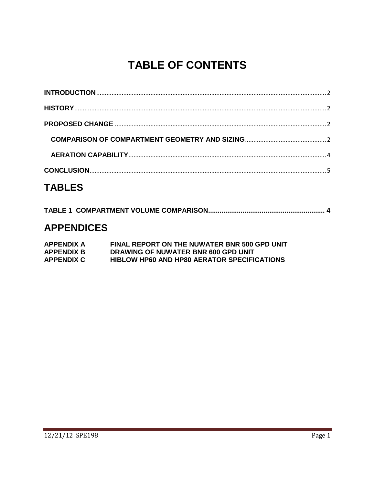# **TABLE OF CONTENTS**

## **TABLES**

### **APPENDICES**

| APPENDIX A        | FINAL REPORT ON THE NUWATER BNR 500 GPD UNIT       |
|-------------------|----------------------------------------------------|
| <b>APPENDIX B</b> | DRAWING OF NUWATER BNR 600 GPD UNIT                |
| <b>APPENDIX C</b> | <b>HIBLOW HP60 AND HP80 AERATOR SPECIFICATIONS</b> |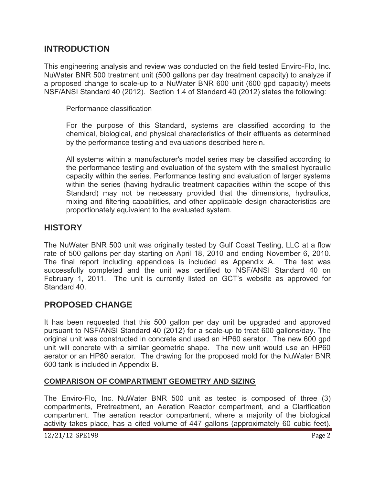#### <span id="page-2-0"></span>**INTRODUCTION**

This engineering analysis and review was conducted on the field tested Enviro-Flo, Inc. NuWater BNR 500 treatment unit (500 gallons per day treatment capacity) to analyze if a proposed change to scale-up to a NuWater BNR 600 unit (600 gpd capacity) meets NSF/ANSI Standard 40 (2012). Section 1.4 of Standard 40 (2012) states the following:

Performance classification

For the purpose of this Standard, systems are classified according to the chemical, biological, and physical characteristics of their effluents as determined by the performance testing and evaluations described herein.

All systems within a manufacturer's model series may be classified according to the performance testing and evaluation of the system with the smallest hydraulic capacity within the series. Performance testing and evaluation of larger systems within the series (having hydraulic treatment capacities within the scope of this Standard) may not be necessary provided that the dimensions, hydraulics, mixing and filtering capabilities, and other applicable design characteristics are proportionately equivalent to the evaluated system.

#### <span id="page-2-1"></span>**HISTORY**

The NuWater BNR 500 unit was originally tested by Gulf Coast Testing, LLC at a flow rate of 500 gallons per day starting on April 18, 2010 and ending November 6, 2010. The final report including appendices is included as Appendix A. The test was successfully completed and the unit was certified to NSF/ANSI Standard 40 on February 1, 2011. The unit is currently listed on GCT's website as approved for Standard 40.

#### <span id="page-2-2"></span>**PROPOSED CHANGE**

It has been requested that this 500 gallon per day unit be upgraded and approved pursuant to NSF/ANSI Standard 40 (2012) for a scale-up to treat 600 gallons/day. The original unit was constructed in concrete and used an HP60 aerator. The new 600 gpd unit will concrete with a similar geometric shape. The new unit would use an HP60 aerator or an HP80 aerator. The drawing for the proposed mold for the NuWater BNR 600 tank is included in Appendix B.

#### <span id="page-2-3"></span>**COMPARISON OF COMPARTMENT GEOMETRY AND SIZING**

The Enviro-Flo, Inc. NuWater BNR 500 unit as tested is composed of three (3) compartments, Pretreatment, an Aeration Reactor compartment, and a Clarification compartment. The aeration reactor compartment, where a majority of the biological activity takes place, has a cited volume of 447 gallons (approximately 60 cubic feet).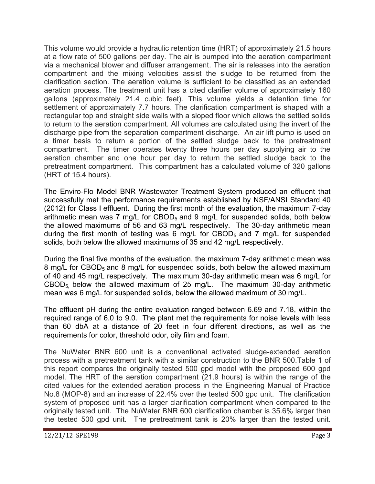This volume would provide a hydraulic retention time (HRT) of approximately 21.5 hours at a flow rate of 500 gallons per day. The air is pumped into the aeration compartment via a mechanical blower and diffuser arrangement. The air is releases into the aeration compartment and the mixing velocities assist the sludge to be returned from the clarification section. The aeration volume is sufficient to be classified as an extended aeration process. The treatment unit has a cited clarifier volume of approximately 160 gallons (approximately 21.4 cubic feet). This volume yields a detention time for settlement of approximately 7.7 hours. The clarification compartment is shaped with a rectangular top and straight side walls with a sloped floor which allows the settled solids to return to the aeration compartment. All volumes are calculated using the invert of the discharge pipe from the separation compartment discharge. An air lift pump is used on a timer basis to return a portion of the settled sludge back to the pretreatment compartment. The timer operates twenty three hours per day supplying air to the aeration chamber and one hour per day to return the settled sludge back to the pretreatment compartment. This compartment has a calculated volume of 320 gallons (HRT of 15.4 hours).

The Enviro-Flo Model BNR Wastewater Treatment System produced an effluent that successfully met the performance requirements established by NSF/ANSI Standard 40 (2012) for Class I effluent. During the first month of the evaluation, the maximum 7-day arithmetic mean was 7 mg/L for  $CBOD<sub>5</sub>$  and 9 mg/L for suspended solids, both below the allowed maximums of 56 and 63 mg/L respectively. The 30-day arithmetic mean during the first month of testing was 6 mg/L for  $CBOD<sub>5</sub>$  and 7 mg/L for suspended solids, both below the allowed maximums of 35 and 42 mg/L respectively.

During the final five months of the evaluation, the maximum 7-day arithmetic mean was 8 mg/L for CBOD<sub>5</sub> and 8 mg/L for suspended solids, both below the allowed maximum of 40 and 45 mg/L respectively. The maximum 30-day arithmetic mean was 6 mg/L for  $CBOD<sub>5</sub>$  below the allowed maximum of 25 mg/L. The maximum 30-day arithmetic mean was 6 mg/L for suspended solids, below the allowed maximum of 30 mg/L.

The effluent pH during the entire evaluation ranged between 6.69 and 7.18, within the required range of 6.0 to 9.0. The plant met the requirements for noise levels with less than 60 dbA at a distance of 20 feet in four different directions, as well as the requirements for color, threshold odor, oily film and foam.

The NuWater BNR 600 unit is a conventional activated sludge-extended aeration process with a pretreatment tank with a similar construction to the BNR 500.Table 1 of this report compares the originally tested 500 gpd model with the proposed 600 gpd model. The HRT of the aeration compartment (21.9 hours) is within the range of the cited values for the extended aeration process in the Engineering Manual of Practice No.8 (MOP-8) and an increase of 22.4% over the tested 500 gpd unit. The clarification system of proposed unit has a larger clarification compartment when compared to the originally tested unit. The NuWater BNR 600 clarification chamber is 35.6% larger than the tested 500 gpd unit. The pretreatment tank is 20% larger than the tested unit.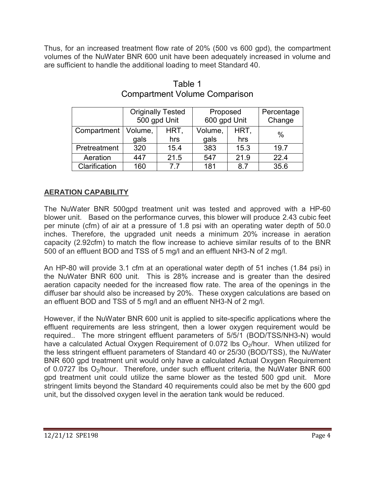<span id="page-4-1"></span>Thus, for an increased treatment flow rate of 20% (500 vs 600 gpd), the compartment volumes of the NuWater BNR 600 unit have been adequately increased in volume and are sufficient to handle the additional loading to meet Standard 40.

|               | <b>Originally Tested</b><br>500 gpd Unit |      | Proposed<br>600 gpd Unit |      | Percentage<br>Change |
|---------------|------------------------------------------|------|--------------------------|------|----------------------|
| Compartment   | Volume,                                  | HRT, | Volume,                  | HRT. | $\%$                 |
|               | gals                                     | hrs  | gals                     | hrs  |                      |
| Pretreatment  | 320                                      | 15.4 | 383                      | 15.3 | 19.7                 |
| Aeration      | 447                                      | 21.5 | 547                      | 21.9 | 22.4                 |
| Clarification | 160                                      | 77   | 181                      | 8.7  | 35.6                 |

#### Table 1 Compartment Volume Comparison

#### <span id="page-4-0"></span>**AERATION CAPABILITY**

The NuWater BNR 500gpd treatment unit was tested and approved with a HP-60 blower unit. Based on the performance curves, this blower will produce 2.43 cubic feet per minute (cfm) of air at a pressure of 1.8 psi with an operating water depth of 50.0 inches. Therefore, the upgraded unit needs a minimum 20% increase in aeration capacity (2.92cfm) to match the flow increase to achieve similar results of to the BNR 500 of an effluent BOD and TSS of 5 mg/l and an effluent NH3-N of 2 mg/l.

An HP-80 will provide 3.1 cfm at an operational water depth of 51 inches (1.84 psi) in the NuWater BNR 600 unit. This is 28% increase and is greater than the desired aeration capacity needed for the increased flow rate. The area of the openings in the diffuser bar should also be increased by 20%. These oxygen calculations are based on an effluent BOD and TSS of 5 mg/l and an effluent NH3-N of 2 mg/l.

However, if the NuWater BNR 600 unit is applied to site-specific applications where the effluent requirements are less stringent, then a lower oxygen requirement would be required.. The more stringent effluent parameters of 5/5/1 (BOD/TSS/NH3-N) would have a calculated Actual Oxygen Requirement of 0.072 lbs  $O<sub>2</sub>/$ hour. When utilized for the less stringent effluent parameters of Standard 40 or 25/30 (BOD/TSS), the NuWater BNR 600 gpd treatment unit would only have a calculated Actual Oxygen Requirement of 0.0727 lbs O<sub>2</sub>/hour. Therefore, under such effluent criteria, the NuWater BNR 600 gpd treatment unit could utilize the same blower as the tested 500 gpd unit. More stringent limits beyond the Standard 40 requirements could also be met by the 600 gpd unit, but the dissolved oxygen level in the aeration tank would be reduced.